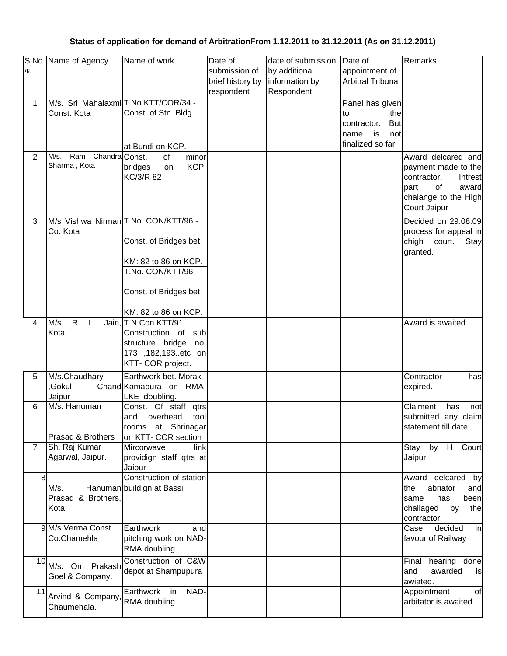## **Status of application for demand of ArbitrationFrom 1.12.2011 to 31.12.2011 (As on 31.12.2011)**

|                | S No Name of Agency                     | Name of work                         | Date of          | date of submission | Date of                   | Remarks                |
|----------------|-----------------------------------------|--------------------------------------|------------------|--------------------|---------------------------|------------------------|
| क.             |                                         |                                      | submission of    | by additional      | appointment of            |                        |
|                |                                         |                                      | brief history by | information by     | <b>Arbitral Tribunal</b>  |                        |
|                |                                         |                                      |                  |                    |                           |                        |
|                |                                         |                                      | respondent       | Respondent         |                           |                        |
| 1              | M/s. Sri Mahalaxmi T.No.KTT/COR/34 -    |                                      |                  |                    | Panel has given           |                        |
|                | Const. Kota                             | Const. of Stn. Bldg.                 |                  |                    | thel<br>to                |                        |
|                |                                         |                                      |                  |                    | <b>But</b><br>contractor. |                        |
|                |                                         |                                      |                  |                    | name<br>is<br>not         |                        |
|                |                                         | at Bundi on KCP.                     |                  |                    | finalized so far          |                        |
|                |                                         |                                      |                  |                    |                           |                        |
| 2              | M/s. Ram Chandra Const.<br>Sharma, Kota | of<br>minor                          |                  |                    |                           | Award delcared and     |
|                |                                         | KCP.<br>bridges<br>on                |                  |                    |                           | payment made to the    |
|                |                                         | KC/3/R 82                            |                  |                    |                           | contractor.<br>Intrest |
|                |                                         |                                      |                  |                    |                           | of<br>part<br>award    |
|                |                                         |                                      |                  |                    |                           | chalange to the High   |
|                |                                         |                                      |                  |                    |                           | Court Jaipur           |
| 3              |                                         | M/s Vishwa Nirman T.No. CON/KTT/96 - |                  |                    |                           | Decided on 29.08.09    |
|                | Co. Kota                                |                                      |                  |                    |                           | process for appeal in  |
|                |                                         |                                      |                  |                    |                           |                        |
|                |                                         | Const. of Bridges bet.               |                  |                    |                           | chigh court.<br>Stay   |
|                |                                         |                                      |                  |                    |                           | granted.               |
|                |                                         | KM: 82 to 86 on KCP.                 |                  |                    |                           |                        |
|                |                                         | T.No. CON/KTT/96 -                   |                  |                    |                           |                        |
|                |                                         |                                      |                  |                    |                           |                        |
|                |                                         | Const. of Bridges bet.               |                  |                    |                           |                        |
|                |                                         |                                      |                  |                    |                           |                        |
|                |                                         | KM: 82 to 86 on KCP.                 |                  |                    |                           |                        |
| 4              | R.<br>M/s.<br>L.                        | Jain, T.N.Con.KTT/91                 |                  |                    |                           | Award is awaited       |
|                | Kota                                    | Construction of sub                  |                  |                    |                           |                        |
|                |                                         | structure bridge<br>no.              |                  |                    |                           |                        |
|                |                                         | 173 ,182,193etc on                   |                  |                    |                           |                        |
|                |                                         | KTT- COR project.                    |                  |                    |                           |                        |
| 5              | M/s.Chaudhary                           | Earthwork bet. Morak .               |                  |                    |                           | Contractor<br>has      |
|                | Gokul,                                  |                                      |                  |                    |                           |                        |
|                |                                         | Chand Kamapura on RMA-               |                  |                    |                           | expired.               |
|                | Jaipur                                  | LKE doubling.                        |                  |                    |                           |                        |
| 6              | M/s. Hanuman                            | Const. Of staff<br>qtrs              |                  |                    |                           | Claiment<br>has<br>not |
|                |                                         | and<br>overhead<br>tool              |                  |                    |                           | submitted any claim    |
|                |                                         | rooms at Shrinagar                   |                  |                    |                           | statement till date.   |
|                | Prasad & Brothers                       | on KTT- COR section                  |                  |                    |                           |                        |
| $\overline{7}$ | Sh. Raj Kumar                           | Mircorwave<br>link                   |                  |                    |                           | H Court<br>Stay<br>by  |
|                | Agarwal, Jaipur.                        | providign staff qtrs at              |                  |                    |                           | Jaipur                 |
|                |                                         | Jaipur                               |                  |                    |                           |                        |
| 8              |                                         | Construction of station              |                  |                    |                           | Award delcared<br>by   |
|                | M/s.                                    | Hanuman buildign at Bassi            |                  |                    |                           | abriator<br>the<br>and |
|                | Prasad & Brothers,                      |                                      |                  |                    |                           | has<br>been<br>same    |
|                | Kota                                    |                                      |                  |                    |                           | challaged<br>by<br>the |
|                |                                         |                                      |                  |                    |                           | contractor             |
|                | 9 M/s Verma Const.                      | Earthwork<br>and                     |                  |                    |                           | decided<br>Case<br>in  |
|                | Co.Chamehla                             | pitching work on NAD-                |                  |                    |                           | favour of Railway      |
|                |                                         | RMA doubling                         |                  |                    |                           |                        |
|                |                                         |                                      |                  |                    |                           |                        |
| 10             | M/s. Om Prakash                         | Construction of C&W                  |                  |                    |                           | hearing done<br>Final  |
|                | Goel & Company.                         | depot at Shampupura                  |                  |                    |                           | and<br>awarded<br>is   |
|                |                                         |                                      |                  |                    |                           | awiated.               |
| 11             | Arvind & Company,                       | Earthwork in<br>NAD-                 |                  |                    |                           | Appointment<br>of      |
|                | Chaumehala.                             | RMA doubling                         |                  |                    |                           | arbitator is awaited.  |
|                |                                         |                                      |                  |                    |                           |                        |